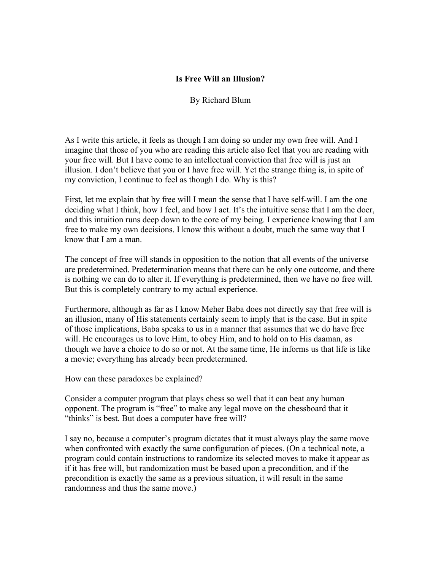## **Is Free Will an Illusion?**

By Richard Blum

As I write this article, it feels as though I am doing so under my own free will. And I imagine that those of you who are reading this article also feel that you are reading with your free will. But I have come to an intellectual conviction that free will is just an illusion. I don't believe that you or I have free will. Yet the strange thing is, in spite of my conviction, I continue to feel as though I do. Why is this?

First, let me explain that by free will I mean the sense that I have self-will. I am the one deciding what I think, how I feel, and how I act. It's the intuitive sense that I am the doer, and this intuition runs deep down to the core of my being. I experience knowing that I am free to make my own decisions. I know this without a doubt, much the same way that I know that I am a man.

The concept of free will stands in opposition to the notion that all events of the universe are predetermined. Predetermination means that there can be only one outcome, and there is nothing we can do to alter it. If everything is predetermined, then we have no free will. But this is completely contrary to my actual experience.

Furthermore, although as far as I know Meher Baba does not directly say that free will is an illusion, many of His statements certainly seem to imply that is the case. But in spite of those implications, Baba speaks to us in a manner that assumes that we do have free will. He encourages us to love Him, to obey Him, and to hold on to His daaman, as though we have a choice to do so or not. At the same time, He informs us that life is like a movie; everything has already been predetermined.

How can these paradoxes be explained?

Consider a computer program that plays chess so well that it can beat any human opponent. The program is "free" to make any legal move on the chessboard that it "thinks" is best. But does a computer have free will?

I say no, because a computer's program dictates that it must always play the same move when confronted with exactly the same configuration of pieces. (On a technical note, a program could contain instructions to randomize its selected moves to make it appear as if it has free will, but randomization must be based upon a precondition, and if the precondition is exactly the same as a previous situation, it will result in the same randomness and thus the same move.)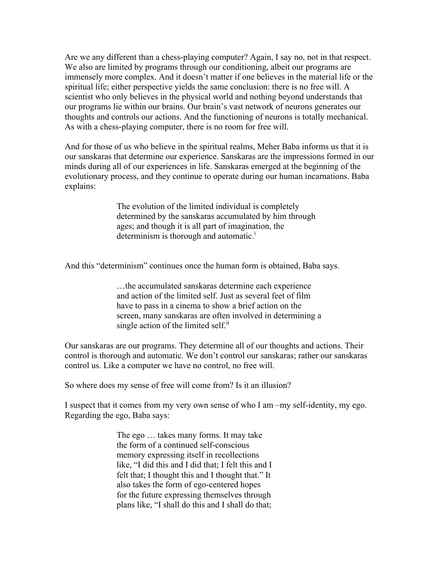Are we any different than a chess-playing computer? Again, I say no, not in that respect. We also are limited by programs through our conditioning, albeit our programs are immensely more complex. And it doesn't matter if one believes in the material life or the spiritual life; either perspective yields the same conclusion: there is no free will. A scientist who only believes in the physical world and nothing beyond understands that our programs lie within our brains. Our brain's vast network of neurons generates our thoughts and controls our actions. And the functioning of neurons is totally mechanical. As with a chess-playing computer, there is no room for free will.

And for those of us who believe in the spiritual realms, Meher Baba informs us that it is our sanskaras that determine our experience. Sanskaras are the impressions formed in our minds during all of our experiences in life. Sanskaras emerged at the beginning of the evolutionary process, and they continue to operate during our human incarnations. Baba explains:

> The evolution of the limited individual is completely determined by the sanskaras accumulated by him through ages; and though it is all part of imagination, the determinism is thorough and automatic.<sup>1</sup>

And this "determinism" continues once the human form is obtained, Baba says.

…the accumulated sanskaras determine each experience and action of the limited self. Just as several feet of film have to pass in a cinema to show a brief action on the screen, many sanskaras are often involved in determining a single action of the limited self.<sup>ii</sup>

Our sanskaras are our programs. They determine all of our thoughts and actions. Their control is thorough and automatic. We don't control our sanskaras; rather our sanskaras control us. Like a computer we have no control, no free will.

So where does my sense of free will come from? Is it an illusion?

I suspect that it comes from my very own sense of who I am –my self-identity, my ego. Regarding the ego, Baba says:

> The ego … takes many forms. It may take the form of a continued self-conscious memory expressing itself in recollections like, "I did this and I did that; I felt this and I felt that; I thought this and I thought that." It also takes the form of ego-centered hopes for the future expressing themselves through plans like, "I shall do this and I shall do that;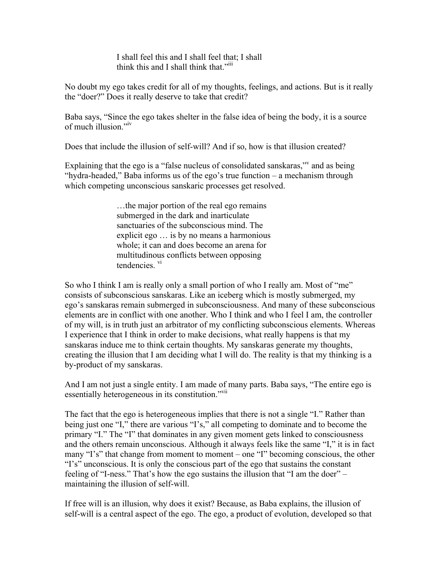I shall feel this and I shall feel that; I shall think this and I shall think that."<sup>iii</sup>

No doubt my ego takes credit for all of my thoughts, feelings, and actions. But is it really the "doer?" Does it really deserve to take that credit?

Baba says, "Since the ego takes shelter in the false idea of being the body, it is a source of much illusion."<sup>iv</sup>

Does that include the illusion of self-will? And if so, how is that illusion created?

Explaining that the ego is a "false nucleus of consolidated sanskaras," and as being "hydra-headed," Baba informs us of the ego's true function – a mechanism through which competing unconscious sanskaric processes get resolved.

> …the major portion of the real ego remains submerged in the dark and inarticulate sanctuaries of the subconscious mind. The explicit ego … is by no means a harmonious whole; it can and does become an arena for multitudinous conflicts between opposing tendencies. vi

So who I think I am is really only a small portion of who I really am. Most of "me" consists of subconscious sanskaras. Like an iceberg which is mostly submerged, my ego's sanskaras remain submerged in subconsciousness. And many of these subconscious elements are in conflict with one another. Who I think and who I feel I am, the controller of my will, is in truth just an arbitrator of my conflicting subconscious elements. Whereas I experience that I think in order to make decisions, what really happens is that my sanskaras induce me to think certain thoughts. My sanskaras generate my thoughts, creating the illusion that I am deciding what I will do. The reality is that my thinking is a by-product of my sanskaras.

And I am not just a single entity. I am made of many parts. Baba says, "The entire ego is essentially heterogeneous in its constitution."<sup>vii</sup>

The fact that the ego is heterogeneous implies that there is not a single "I." Rather than being just one "I," there are various "I's," all competing to dominate and to become the primary "I." The "I" that dominates in any given moment gets linked to consciousness and the others remain unconscious. Although it always feels like the same "I," it is in fact many "I's" that change from moment to moment – one "I" becoming conscious, the other "I's" unconscious. It is only the conscious part of the ego that sustains the constant feeling of "I-ness." That's how the ego sustains the illusion that "I am the doer" – maintaining the illusion of self-will.

If free will is an illusion, why does it exist? Because, as Baba explains, the illusion of self-will is a central aspect of the ego. The ego, a product of evolution, developed so that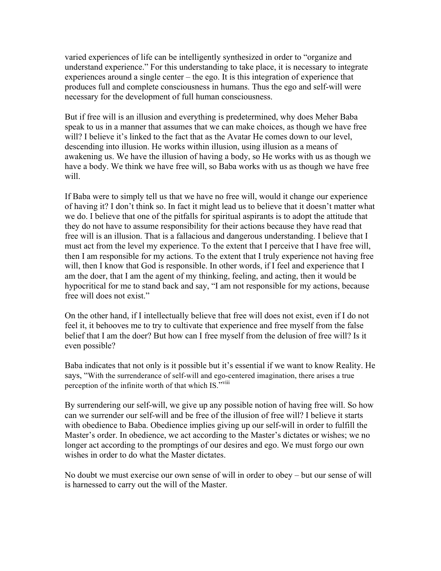varied experiences of life can be intelligently synthesized in order to "organize and understand experience." For this understanding to take place, it is necessary to integrate experiences around a single center – the ego. It is this integration of experience that produces full and complete consciousness in humans. Thus the ego and self-will were necessary for the development of full human consciousness.

But if free will is an illusion and everything is predetermined, why does Meher Baba speak to us in a manner that assumes that we can make choices, as though we have free will? I believe it's linked to the fact that as the Avatar He comes down to our level, descending into illusion. He works within illusion, using illusion as a means of awakening us. We have the illusion of having a body, so He works with us as though we have a body. We think we have free will, so Baba works with us as though we have free will.

If Baba were to simply tell us that we have no free will, would it change our experience of having it? I don't think so. In fact it might lead us to believe that it doesn't matter what we do. I believe that one of the pitfalls for spiritual aspirants is to adopt the attitude that they do not have to assume responsibility for their actions because they have read that free will is an illusion. That is a fallacious and dangerous understanding. I believe that I must act from the level my experience. To the extent that I perceive that I have free will, then I am responsible for my actions. To the extent that I truly experience not having free will, then I know that God is responsible. In other words, if I feel and experience that I am the doer, that I am the agent of my thinking, feeling, and acting, then it would be hypocritical for me to stand back and say, "I am not responsible for my actions, because free will does not exist."

On the other hand, if I intellectually believe that free will does not exist, even if I do not feel it, it behooves me to try to cultivate that experience and free myself from the false belief that I am the doer? But how can I free myself from the delusion of free will? Is it even possible?

Baba indicates that not only is it possible but it's essential if we want to know Reality. He says, "With the surrenderance of self-will and ego-centered imagination, there arises a true perception of the infinite worth of that which IS."<sup>viii</sup>

By surrendering our self-will, we give up any possible notion of having free will. So how can we surrender our self-will and be free of the illusion of free will? I believe it starts with obedience to Baba. Obedience implies giving up our self-will in order to fulfill the Master's order. In obedience, we act according to the Master's dictates or wishes; we no longer act according to the promptings of our desires and ego. We must forgo our own wishes in order to do what the Master dictates.

No doubt we must exercise our own sense of will in order to obey – but our sense of will is harnessed to carry out the will of the Master.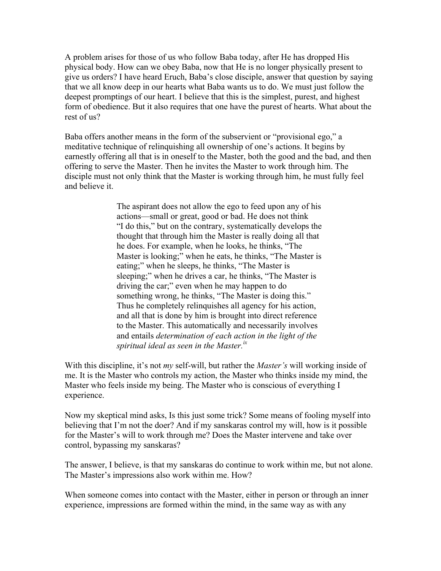A problem arises for those of us who follow Baba today, after He has dropped His physical body. How can we obey Baba, now that He is no longer physically present to give us orders? I have heard Eruch, Baba's close disciple, answer that question by saying that we all know deep in our hearts what Baba wants us to do. We must just follow the deepest promptings of our heart. I believe that this is the simplest, purest, and highest form of obedience. But it also requires that one have the purest of hearts. What about the rest of us?

Baba offers another means in the form of the subservient or "provisional ego," a meditative technique of relinquishing all ownership of one's actions. It begins by earnestly offering all that is in oneself to the Master, both the good and the bad, and then offering to serve the Master. Then he invites the Master to work through him. The disciple must not only think that the Master is working through him, he must fully feel and believe it.

> The aspirant does not allow the ego to feed upon any of his actions—small or great, good or bad. He does not think "I do this," but on the contrary, systematically develops the thought that through him the Master is really doing all that he does. For example, when he looks, he thinks, "The Master is looking;" when he eats, he thinks, "The Master is eating;" when he sleeps, he thinks, "The Master is sleeping;" when he drives a car, he thinks, "The Master is driving the car;" even when he may happen to do something wrong, he thinks, "The Master is doing this." Thus he completely relinquishes all agency for his action, and all that is done by him is brought into direct reference to the Master. This automatically and necessarily involves and entails *determination of each action in the light of the spiritual ideal as seen in the Master. ix*

With this discipline, it's not *my* self-will, but rather the *Master's* will working inside of me. It is the Master who controls my action, the Master who thinks inside my mind, the Master who feels inside my being. The Master who is conscious of everything I experience.

Now my skeptical mind asks, Is this just some trick? Some means of fooling myself into believing that I'm not the doer? And if my sanskaras control my will, how is it possible for the Master's will to work through me? Does the Master intervene and take over control, bypassing my sanskaras?

The answer, I believe, is that my sanskaras do continue to work within me, but not alone. The Master's impressions also work within me. How?

When someone comes into contact with the Master, either in person or through an inner experience, impressions are formed within the mind, in the same way as with any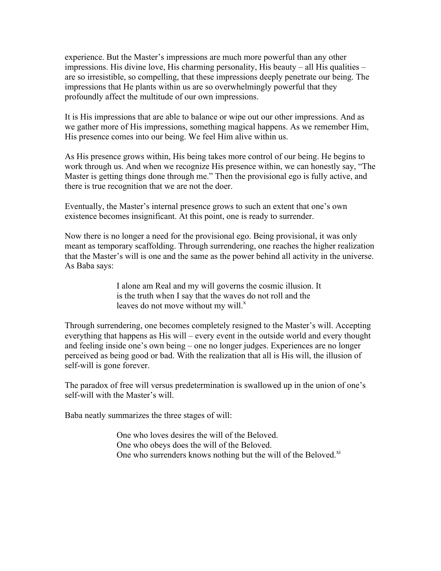experience. But the Master's impressions are much more powerful than any other impressions. His divine love, His charming personality, His beauty – all His qualities – are so irresistible, so compelling, that these impressions deeply penetrate our being. The impressions that He plants within us are so overwhelmingly powerful that they profoundly affect the multitude of our own impressions.

It is His impressions that are able to balance or wipe out our other impressions. And as we gather more of His impressions, something magical happens. As we remember Him, His presence comes into our being. We feel Him alive within us.

As His presence grows within, His being takes more control of our being. He begins to work through us. And when we recognize His presence within, we can honestly say, "The Master is getting things done through me." Then the provisional ego is fully active, and there is true recognition that we are not the doer.

Eventually, the Master's internal presence grows to such an extent that one's own existence becomes insignificant. At this point, one is ready to surrender.

Now there is no longer a need for the provisional ego. Being provisional, it was only meant as temporary scaffolding. Through surrendering, one reaches the higher realization that the Master's will is one and the same as the power behind all activity in the universe. As Baba says:

> I alone am Real and my will governs the cosmic illusion. It is the truth when I say that the waves do not roll and the leaves do not move without my will.<sup>x</sup>

Through surrendering, one becomes completely resigned to the Master's will. Accepting everything that happens as His will – every event in the outside world and every thought and feeling inside one's own being – one no longer judges. Experiences are no longer perceived as being good or bad. With the realization that all is His will, the illusion of self-will is gone forever.

The paradox of free will versus predetermination is swallowed up in the union of one's self-will with the Master's will.

Baba neatly summarizes the three stages of will:

One who loves desires the will of the Beloved. One who obeys does the will of the Beloved. One who surrenders knows nothing but the will of the Beloved.<sup>xi</sup>